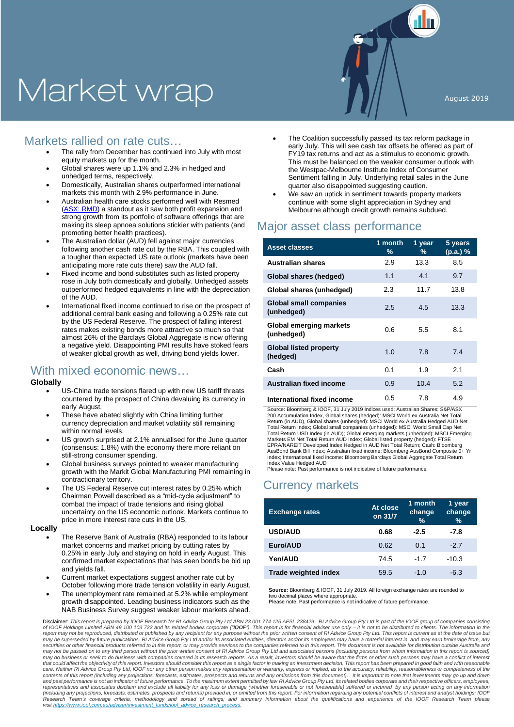# Market wrap

## Markets rallied on rate cuts…

- The rally from December has continued into July with most equity markets up for the month.
- Global shares were up 1.1% and 2.3% in hedged and unhedged terms, respectively.
- Domestically, Australian shares outperformed international markets this month with 2.9% performance in June.
- Australian health care stocks performed well with Resmed [\(ASX: RMD\)](https://www.asx.com.au/asx/share-price-research/company/RMD) a standout as it saw both profit expansion and strong growth from its portfolio of software offerings that are making its sleep apnoea solutions stickier with patients (and promoting better health practices).
- The Australian dollar (AUD) fell against major currencies following another cash rate cut by the RBA. This coupled with a tougher than expected US rate outlook (markets have been anticipating more rate cuts there) saw the AUD fall.
- Fixed income and bond substitutes such as listed property rose in July both domestically and globally. Unhedged assets outperformed hedged equivalents in line with the depreciation of the AUD.
- International fixed income continued to rise on the prospect of additional central bank easing and following a 0.25% rate cut by the US Federal Reserve. The prospect of falling interest rates makes existing bonds more attractive so much so that almost 26% of the Barclays Global Aggregate is now offering a negative yield. Disappointing PMI results have stoked fears of weaker global growth as well, driving bond yields lower.

### With mixed economic news…

#### **Globally**

- US-China trade tensions flared up with new US tariff threats countered by the prospect of China devaluing its currency in early August.
- These have abated slightly with China limiting further currency depreciation and market volatility still remaining within normal levels.
- US growth surprised at 2.1% annualised for the June quarter (consensus: 1.8%) with the economy there more reliant on still-strong consumer spending.
- Global business surveys pointed to weaker manufacturing growth with the Markit Global Manufacturing PMI remaining in contractionary territory.
- The US Federal Reserve cut interest rates by 0.25% which Chairman Powell described as a "mid-cycle adjustment" to combat the impact of trade tensions and rising global uncertainty on the US economic outlook. Markets continue to price in more interest rate cuts in the US.

#### **Locally**

- The Reserve Bank of Australia (RBA) responded to its labour market concerns and market pricing by cutting rates by 0.25% in early July and staying on hold in early August. This confirmed market expectations that has seen bonds be bid up and yields fall.
- Current market expectations suggest another rate cut by October following more trade tension volatility in early August.
- The unemployment rate remained at 5.2% while employment growth disappointed. Leading business indicators such as the NAB Business Survey suggest weaker labour markets ahead.
- The Coalition successfully passed its tax reform package in early July. This will see cash tax offsets be offered as part of FY19 tax returns and act as a stimulus to economic growth. This must be balanced on the weaker consumer outlook with the Westpac-Melbourne Institute Index of Consumer Sentiment falling in July. Underlying retail sales in the June quarter also disappointed suggesting caution.
- We saw an uptick in sentiment towards property markets continue with some slight appreciation in Sydney and Melbourne although credit growth remains subdued.

## Major asset class performance

| <b>Asset classes</b>                         | 1 month<br>% | 1 year<br>% | 5 years<br>(p.a.)% |
|----------------------------------------------|--------------|-------------|--------------------|
| <b>Australian shares</b>                     | 2.9          | 13.3        | 8.5                |
| Global shares (hedged)                       | 1.1          | 4.1         | 9.7                |
| Global shares (unhedged)                     | 2.3          | 11.7        | 13.8               |
| <b>Global small companies</b><br>(unhedged)  | 2.5          | 4.5         | 13.3               |
| <b>Global emerging markets</b><br>(unhedged) | 0.6          | 5.5         | 8.1                |
| <b>Global listed property</b><br>(hedged)    | 1.0          | 7.8         | 7.4                |
| Cash                                         | 0.1          | 1.9         | 2.1                |
| Australian fixed income                      | 0.9          | 10.4        | 5.2                |
| International fixed income                   | 0.5          | 7.8         | 4.9                |

Source: Bloomberg & IOOF, 31 July 2019 Indices used: Australian Shares: S&P/ASX 200 Accumulation Index, Global shares (hedged): MSCI World ex Australia Net Total Return (in AUD), Global shares (unhedged): MSCI World ex Australia Hedged AUD Net Total Return Index; Global small companies (unhedged): MSCI World Small Cap Net Total Return USD Index (in AUD); Global emerging markets (unhedged): MSCI Emerging Markets EM Net Total Return AUD Index; Global listed property (hedged): FTSE EPRA/NAREIT Developed Index Hedged in AUD Net Total Return; Cash: Bloomberg<br>AusBond Bank Bill Index; Australian fixed income: Bloomberg AusBond Composite 0+ Yr<br>Index; International fixed income: Bloomberg Barclays Global A Index Value Hedged AUD

Please note: Past performance is not indicative of future performance

## Currency markets

| <b>Exchange rates</b>       | At close<br>on 31/7 | 1 month<br>change<br>$\frac{0}{0}$ | 1 year<br>change<br>$\%$ |
|-----------------------------|---------------------|------------------------------------|--------------------------|
| <b>USD/AUD</b>              | 0.68                | $-2.5$                             | $-7.8$                   |
| Euro/AUD                    | 0.62                | 0.1                                | $-2.7$                   |
| Yen/AUD                     | 74.5                | $-1.7$                             | $-10.3$                  |
| <b>Trade weighted index</b> | 59.5                | $-1.0$                             | $-6.3$                   |

**Source:** Bloomberg & IOOF, 31 July 2019. All foreign exchange rates are rounded to two decimal places where appropria Please note: Past performance is not indicative of future performance.

Disclaimer: *This report is prepared by IOOF Research for RI Advice Group Pty Ltd ABN 23 001 774 125 AFSL 238429. RI Advice Group Pty Ltd is part of the IOOF group of companies consisting*  of IOOF Holdings Limited ABN 49 100 103 722 and its related bodies corporate ("**IOOF**"). This report is for financial adviser use only – it is not to be distributed to clients. The information in the<br>report may not be repr *may be superseded by future publications. RI Advice Group Pty Ltd and/or its associated entities, directors and/or its employees may have a material interest in, and may earn brokerage from, any*  securities or other financial products referred to in this report, or may provide services to the companies referred to in this report. This document is not available for distribution outside Australia and<br>may not be passe that could affect the objectivity of this report. Investors should consider this report as a single factor in making an investment decision. This report has been prepared in good faith and with reasonable<br>care. Neither RI contents of this report (including any projections, forecasts, estimates, prospects and returns and any omissions from this document). It is important to note that investments may go up and down<br>and past performance is not *representatives and associates disclaim and exclude all liability for any loss or damage (whether foreseeable or not foreseeable) suffered or incurred by any person acting on any information (including any projections, forecasts, estimates, prospects and returns) provided in, or omitted from this report. For information regarding any potential conflicts of interest and analyst holdings; IOOF*  Research Team's coverage criteria, methodology and spread of ratings; and summary information about the qualifications and experience of the IOOF Research Team please<br>visithttps://www.ioof.com.au/adviser/investment funds/i